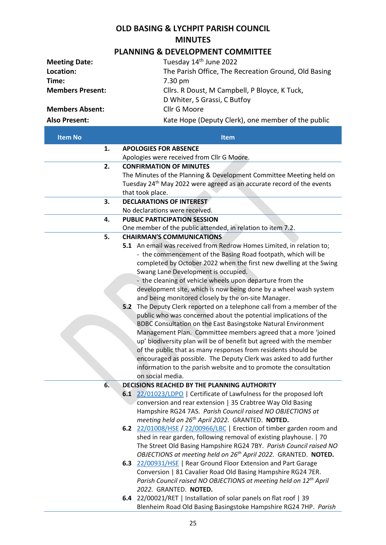## **OLD BASING & LYCHPIT PARISH COUNCIL MINUTES**

## **PLANNING & DEVELOPMENT COMMITTEE**

| <b>Meeting Date:</b>    | Tuesday 14 <sup>th</sup> June 2022                   |
|-------------------------|------------------------------------------------------|
| Location:               | The Parish Office, The Recreation Ground, Old Basing |
| Time:                   | $7.30 \text{ pm}$                                    |
| <b>Members Present:</b> | Cllrs. R Doust, M Campbell, P Bloyce, K Tuck,        |
|                         | D Whiter, S Grassi, C Butfoy                         |
| <b>Members Absent:</b>  | Cllr G Moore                                         |
| <b>Also Present:</b>    | Kate Hope (Deputy Clerk), one member of the public   |

| <b>Item No</b> |     | <b>Item</b>                                                                       |
|----------------|-----|-----------------------------------------------------------------------------------|
| 1.             |     | <b>APOLOGIES FOR ABSENCE</b>                                                      |
|                |     | Apologies were received from Cllr G Moore.                                        |
| 2.             |     | <b>CONFIRMATION OF MINUTES</b>                                                    |
|                |     | The Minutes of the Planning & Development Committee Meeting held on               |
|                |     | Tuesday 24 <sup>th</sup> May 2022 were agreed as an accurate record of the events |
|                |     | that took place.                                                                  |
| 3.             |     | <b>DECLARATIONS OF INTEREST</b>                                                   |
|                |     | No declarations were received.                                                    |
| 4.             |     | <b>PUBLIC PARTICIPATION SESSION</b>                                               |
|                |     | One member of the public attended, in relation to item 7.2.                       |
| 5.             |     | <b>CHAIRMAN'S COMMUNICATIONS</b>                                                  |
|                |     | 5.1 An email was received from Redrow Homes Limited, in relation to;              |
|                |     | - the commencement of the Basing Road footpath, which will be                     |
|                |     | completed by October 2022 when the first new dwelling at the Swing                |
|                |     | Swang Lane Development is occupied.                                               |
|                |     | - the cleaning of vehicle wheels upon departure from the                          |
|                |     | development site, which is now being done by a wheel wash system                  |
|                |     | and being monitored closely by the on-site Manager.                               |
|                | 5.2 | The Deputy Clerk reported on a telephone call from a member of the                |
|                |     | public who was concerned about the potential implications of the                  |
|                |     | BDBC Consultation on the East Basingstoke Natural Environment                     |
|                |     | Management Plan. Committee members agreed that a more 'joined                     |
|                |     | up' biodiversity plan will be of benefit but agreed with the member               |
|                |     | of the public that as many responses from residents should be                     |
|                |     | encouraged as possible. The Deputy Clerk was asked to add further                 |
|                |     | information to the parish website and to promote the consultation                 |
|                |     | on social media.                                                                  |
| 6.             |     | DECISIONS REACHED BY THE PLANNING AUTHORITY                                       |
|                |     | 6.1 22/01023/LDPO   Certificate of Lawfulness for the proposed loft               |
|                |     | conversion and rear extension   35 Crabtree Way Old Basing                        |
|                |     | Hampshire RG24 7AS. Parish Council raised NO OBJECTIONS at                        |
|                |     | meeting held on 26 <sup>th</sup> April 2022. GRANTED. NOTED.                      |
|                |     | 6.2 22/01008/HSE / 22/00966/LBC   Erection of timber garden room and              |
|                |     | shed in rear garden, following removal of existing playhouse.   70                |
|                |     | The Street Old Basing Hampshire RG24 7BY. Parish Council raised NO                |
|                |     | OBJECTIONS at meeting held on 26 <sup>th</sup> April 2022. GRANTED. NOTED.        |
|                |     | 6.3 22/00931/HSE   Rear Ground Floor Extension and Part Garage                    |
|                |     | Conversion   81 Cavalier Road Old Basing Hampshire RG24 7ER.                      |
|                |     | Parish Council raised NO OBJECTIONS at meeting held on 12 <sup>th</sup> April     |
|                |     | 2022. GRANTED. NOTED.                                                             |
|                |     | 6.4 22/00021/RET   Installation of solar panels on flat roof   39                 |
|                |     | Blenheim Road Old Basing Basingstoke Hampshire RG24 7HP. Parish                   |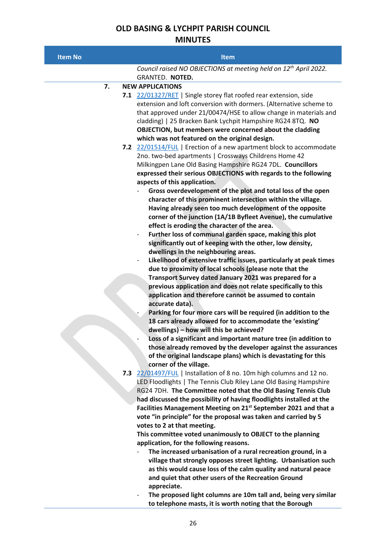## **OLD BASING & LYCHPIT PARISH COUNCIL MINUTES**

| <b>Item No</b> | <b>Item</b>                                                                                                                                                                                                  |
|----------------|--------------------------------------------------------------------------------------------------------------------------------------------------------------------------------------------------------------|
|                | Council raised NO OBJECTIONS at meeting held on 12 <sup>th</sup> April 2022.                                                                                                                                 |
|                | GRANTED. NOTED.                                                                                                                                                                                              |
| 7.             | <b>NEW APPLICATIONS</b>                                                                                                                                                                                      |
|                | 7.1 22/01327/RET   Single storey flat roofed rear extension, side<br>extension and loft conversion with dormers. (Alternative scheme to<br>that approved under 21/00474/HSE to allow change in materials and |
|                | cladding)   25 Bracken Bank Lychpit Hampshire RG24 8TQ. NO                                                                                                                                                   |
|                | OBJECTION, but members were concerned about the cladding<br>which was not featured on the original design.                                                                                                   |
|                | 7.2 22/01514/FUL   Erection of a new apartment block to accommodate                                                                                                                                          |
|                | 2no. two-bed apartments   Crossways Childrens Home 42                                                                                                                                                        |
|                | Milkingpen Lane Old Basing Hampshire RG24 7DL. Councillors                                                                                                                                                   |
|                | expressed their serious OBJECTIONS with regards to the following                                                                                                                                             |
|                | aspects of this application.                                                                                                                                                                                 |
|                | Gross overdevelopment of the plot and total loss of the open                                                                                                                                                 |
|                | character of this prominent intersection within the village.                                                                                                                                                 |
|                | Having already seen too much development of the opposite                                                                                                                                                     |
|                | corner of the junction (1A/1B Byfleet Avenue), the cumulative                                                                                                                                                |
|                | effect is eroding the character of the area.<br>Further loss of communal garden space, making this plot<br>$\overline{\phantom{a}}$                                                                          |
|                | significantly out of keeping with the other, low density,                                                                                                                                                    |
|                | dwellings in the neighbouring areas.                                                                                                                                                                         |
|                | Likelihood of extensive traffic issues, particularly at peak times                                                                                                                                           |
|                | due to proximity of local schools (please note that the                                                                                                                                                      |
|                | Transport Survey dated January 2021 was prepared for a                                                                                                                                                       |
|                | previous application and does not relate specifically to this                                                                                                                                                |
|                | application and therefore cannot be assumed to contain<br>accurate data).                                                                                                                                    |
|                | Parking for four more cars will be required (in addition to the                                                                                                                                              |
|                | 18 cars already allowed for to accommodate the 'existing'                                                                                                                                                    |
|                | dwellings) - how will this be achieved?                                                                                                                                                                      |
|                | Loss of a significant and important mature tree (in addition to                                                                                                                                              |
|                | those already removed by the developer against the assurances                                                                                                                                                |
|                | of the original landscape plans) which is devastating for this                                                                                                                                               |
|                | corner of the village.                                                                                                                                                                                       |
|                | 7.3 22/01497/FUL   Installation of 8 no. 10m high columns and 12 no.<br>LED Floodlights   The Tennis Club Riley Lane Old Basing Hampshire                                                                    |
|                | RG24 7DH. The Committee noted that the Old Basing Tennis Club                                                                                                                                                |
|                | had discussed the possibility of having floodlights installed at the                                                                                                                                         |
|                | Facilities Management Meeting on 21 <sup>st</sup> September 2021 and that a                                                                                                                                  |
|                | vote "in principle" for the proposal was taken and carried by 5                                                                                                                                              |
|                | votes to 2 at that meeting.                                                                                                                                                                                  |
|                | This committee voted unanimously to OBJECT to the planning                                                                                                                                                   |
|                | application, for the following reasons.                                                                                                                                                                      |
|                | The increased urbanisation of a rural recreation ground, in a                                                                                                                                                |
|                | village that strongly opposes street lighting. Urbanisation such<br>as this would cause loss of the calm quality and natural peace                                                                           |
|                | and quiet that other users of the Recreation Ground                                                                                                                                                          |
|                | appreciate.                                                                                                                                                                                                  |
|                | The proposed light columns are 10m tall and, being very similar                                                                                                                                              |
|                | to telephone masts, it is worth noting that the Borough                                                                                                                                                      |